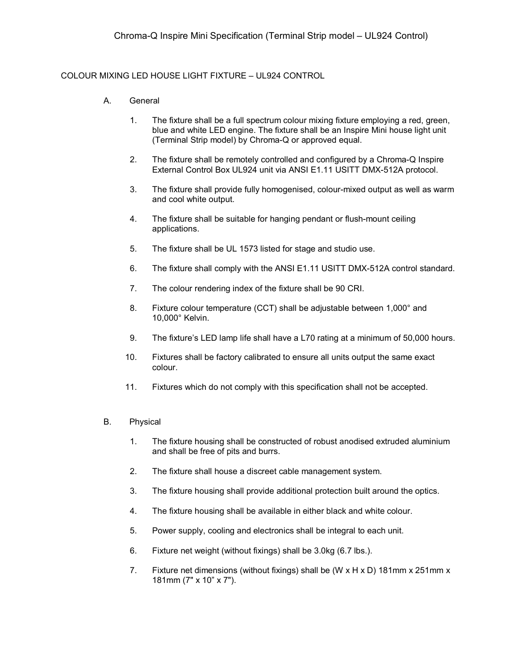## COLOUR MIXING LED HOUSE LIGHT FIXTURE – UL924 CONTROL

- A. General
	- 1. The fixture shall be a full spectrum colour mixing fixture employing a red, green, blue and white LED engine. The fixture shall be an Inspire Mini house light unit (Terminal Strip model) by Chroma-Q or approved equal.
	- 2. The fixture shall be remotely controlled and configured by a Chroma-Q Inspire External Control Box UL924 unit via ANSI E1.11 USITT DMX-512A protocol.
	- 3. The fixture shall provide fully homogenised, colour-mixed output as well as warm and cool white output.
	- 4. The fixture shall be suitable for hanging pendant or flush-mount ceiling applications.
	- 5. The fixture shall be UL 1573 listed for stage and studio use.
	- 6. The fixture shall comply with the ANSI E1.11 USITT DMX-512A control standard.
	- 7. The colour rendering index of the fixture shall be 90 CRI.
	- 8. Fixture colour temperature (CCT) shall be adjustable between 1,000° and 10,000° Kelvin.
	- 9. The fixture's LED lamp life shall have a L70 rating at a minimum of 50,000 hours.
	- 10. Fixtures shall be factory calibrated to ensure all units output the same exact colour.
	- 11. Fixtures which do not comply with this specification shall not be accepted.

## B. Physical

- 1. The fixture housing shall be constructed of robust anodised extruded aluminium and shall be free of pits and burrs.
- 2. The fixture shall house a discreet cable management system.
- 3. The fixture housing shall provide additional protection built around the optics.
- 4. The fixture housing shall be available in either black and white colour.
- 5. Power supply, cooling and electronics shall be integral to each unit.
- 6. Fixture net weight (without fixings) shall be 3.0kg (6.7 lbs.).
- 7. Fixture net dimensions (without fixings) shall be (W  $\times$  H  $\times$  D) 181mm  $\times$  251mm  $\times$ 181mm (7" x 10" x 7").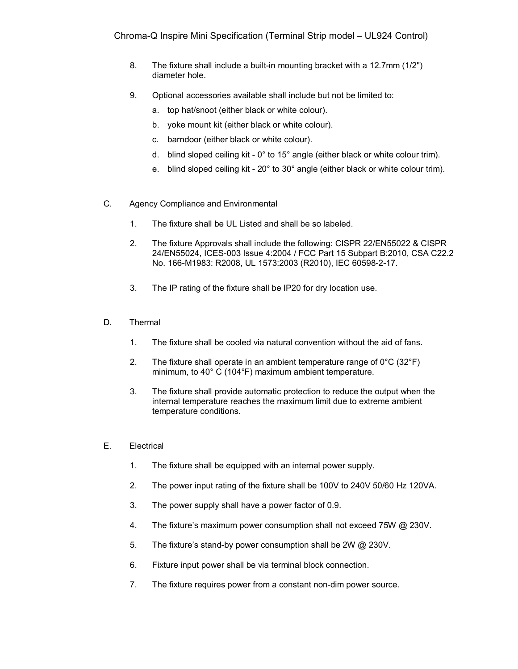- 8. The fixture shall include a built-in mounting bracket with a 12.7mm (1/2") diameter hole.
- 9. Optional accessories available shall include but not be limited to:
	- a. top hat/snoot (either black or white colour).
	- b. yoke mount kit (either black or white colour).
	- c. barndoor (either black or white colour).
	- d. blind sloped ceiling kit 0° to 15° angle (either black or white colour trim).
	- e. blind sloped ceiling kit 20° to 30° angle (either black or white colour trim).
- C. Agency Compliance and Environmental
	- 1. The fixture shall be UL Listed and shall be so labeled.
	- 2. The fixture Approvals shall include the following: CISPR 22/EN55022 & CISPR 24/EN55024, ICES-003 Issue 4:2004 / FCC Part 15 Subpart B:2010, CSA C22.2 No. 166-M1983: R2008, UL 1573:2003 (R2010), IEC 60598-2-17.
	- 3. The IP rating of the fixture shall be IP20 for dry location use.
- D. Thermal
	- 1. The fixture shall be cooled via natural convention without the aid of fans.
	- 2. The fixture shall operate in an ambient temperature range of  $0^{\circ}$ C (32 $^{\circ}$ F) minimum, to 40° C (104°F) maximum ambient temperature.
	- 3. The fixture shall provide automatic protection to reduce the output when the internal temperature reaches the maximum limit due to extreme ambient temperature conditions.
- E. Electrical
	- 1. The fixture shall be equipped with an internal power supply.
	- 2. The power input rating of the fixture shall be 100V to 240V 50/60 Hz 120VA.
	- 3. The power supply shall have a power factor of 0.9.
	- 4. The fixture's maximum power consumption shall not exceed 75W @ 230V.
	- 5. The fixture's stand-by power consumption shall be 2W @ 230V.
	- 6. Fixture input power shall be via terminal block connection.
	- 7. The fixture requires power from a constant non-dim power source.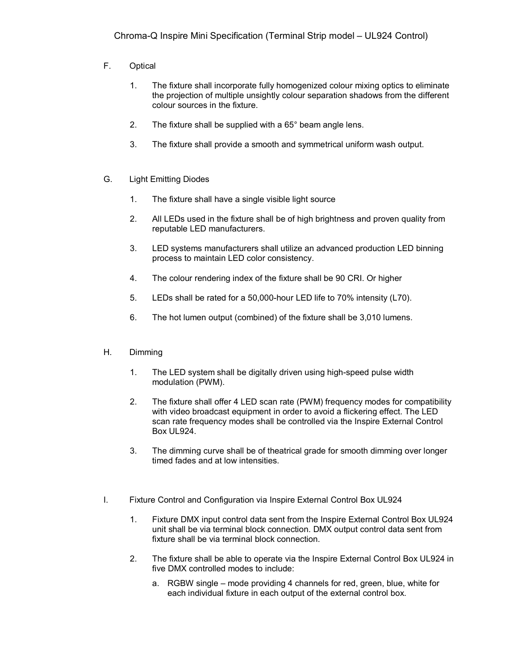- F. Optical
	- 1. The fixture shall incorporate fully homogenized colour mixing optics to eliminate the projection of multiple unsightly colour separation shadows from the different colour sources in the fixture.
	- 2. The fixture shall be supplied with a 65° beam angle lens.
	- 3. The fixture shall provide a smooth and symmetrical uniform wash output.
- G. Light Emitting Diodes
	- 1. The fixture shall have a single visible light source
	- 2. All LEDs used in the fixture shall be of high brightness and proven quality from reputable LED manufacturers.
	- 3. LED systems manufacturers shall utilize an advanced production LED binning process to maintain LED color consistency.
	- 4. The colour rendering index of the fixture shall be 90 CRI. Or higher
	- 5. LEDs shall be rated for a 50,000-hour LED life to 70% intensity (L70).
	- 6. The hot lumen output (combined) of the fixture shall be 3,010 lumens.
- H. Dimming
	- 1. The LED system shall be digitally driven using high-speed pulse width modulation (PWM).
	- 2. The fixture shall offer 4 LED scan rate (PWM) frequency modes for compatibility with video broadcast equipment in order to avoid a flickering effect. The LED scan rate frequency modes shall be controlled via the Inspire External Control Box UL924.
	- 3. The dimming curve shall be of theatrical grade for smooth dimming over longer timed fades and at low intensities.
- I. Fixture Control and Configuration via Inspire External Control Box UL924
	- 1. Fixture DMX input control data sent from the Inspire External Control Box UL924 unit shall be via terminal block connection. DMX output control data sent from fixture shall be via terminal block connection.
	- 2. The fixture shall be able to operate via the Inspire External Control Box UL924 in five DMX controlled modes to include:
		- a. RGBW single mode providing 4 channels for red, green, blue, white for each individual fixture in each output of the external control box.